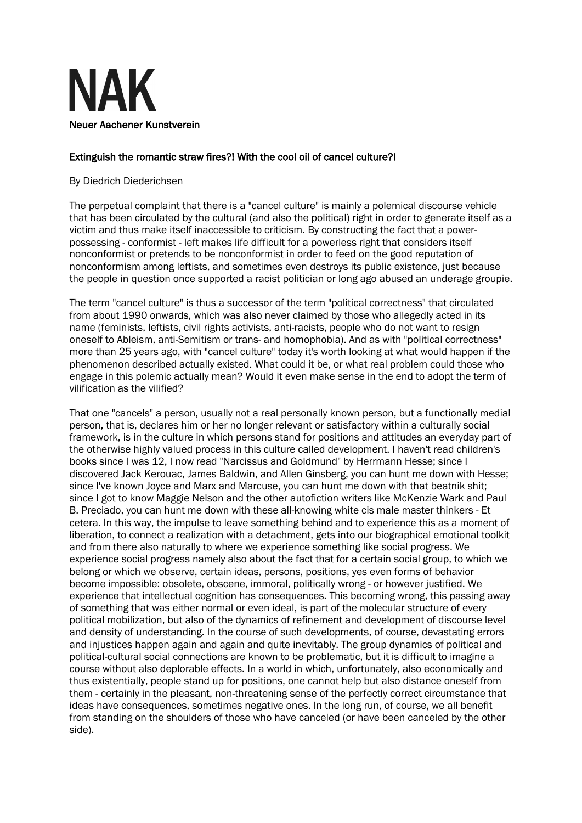

## Extinguish the romantic straw fires?! With the cool oil of cancel culture?!

## By Diedrich Diederichsen

The perpetual complaint that there is a "cancel culture" is mainly a polemical discourse vehicle that has been circulated by the cultural (and also the political) right in order to generate itself as a victim and thus make itself inaccessible to criticism. By constructing the fact that a powerpossessing - conformist - left makes life difficult for a powerless right that considers itself nonconformist or pretends to be nonconformist in order to feed on the good reputation of nonconformism among leftists, and sometimes even destroys its public existence, just because the people in question once supported a racist politician or long ago abused an underage groupie.

The term "cancel culture" is thus a successor of the term "political correctness" that circulated from about 1990 onwards, which was also never claimed by those who allegedly acted in its name (feminists, leftists, civil rights activists, anti-racists, people who do not want to resign oneself to Ableism, anti-Semitism or trans- and homophobia). And as with "political correctness" more than 25 years ago, with "cancel culture" today it's worth looking at what would happen if the phenomenon described actually existed. What could it be, or what real problem could those who engage in this polemic actually mean? Would it even make sense in the end to adopt the term of vilification as the vilified?

That one "cancels" a person, usually not a real personally known person, but a functionally medial person, that is, declares him or her no longer relevant or satisfactory within a culturally social framework, is in the culture in which persons stand for positions and attitudes an everyday part of the otherwise highly valued process in this culture called development. I haven't read children's books since I was 12, I now read "Narcissus and Goldmund" by Herrmann Hesse; since I discovered Jack Kerouac, James Baldwin, and Allen Ginsberg, you can hunt me down with Hesse; since I've known Joyce and Marx and Marcuse, you can hunt me down with that beatnik shit; since I got to know Maggie Nelson and the other autofiction writers like McKenzie Wark and Paul B. Preciado, you can hunt me down with these all-knowing white cis male master thinkers - Et cetera. In this way, the impulse to leave something behind and to experience this as a moment of liberation, to connect a realization with a detachment, gets into our biographical emotional toolkit and from there also naturally to where we experience something like social progress. We experience social progress namely also about the fact that for a certain social group, to which we belong or which we observe, certain ideas, persons, positions, yes even forms of behavior become impossible: obsolete, obscene, immoral, politically wrong - or however justified. We experience that intellectual cognition has consequences. This becoming wrong, this passing away of something that was either normal or even ideal, is part of the molecular structure of every political mobilization, but also of the dynamics of refinement and development of discourse level and density of understanding. In the course of such developments, of course, devastating errors and injustices happen again and again and quite inevitably. The group dynamics of political and political-cultural social connections are known to be problematic, but it is difficult to imagine a course without also deplorable effects. In a world in which, unfortunately, also economically and thus existentially, people stand up for positions, one cannot help but also distance oneself from them - certainly in the pleasant, non-threatening sense of the perfectly correct circumstance that ideas have consequences, sometimes negative ones. In the long run, of course, we all benefit from standing on the shoulders of those who have canceled (or have been canceled by the other side).